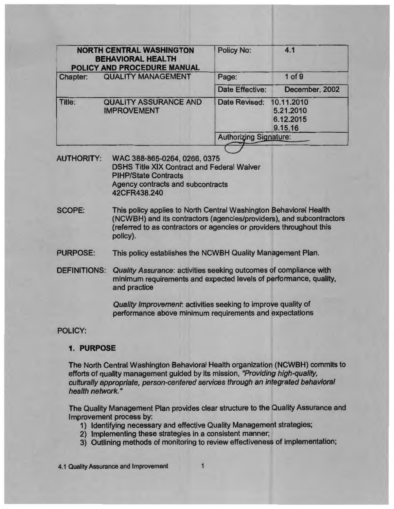| <b>NORTH CENTRAL WASHINGTON</b><br><b>BEHAVIORAL HEALTH</b><br>POLICY AND PROCEDURE MANUAL |                                                                                                                                                                                                                                                                                                                                                                   | <b>Policy No:</b>             | 4.1                                             |
|--------------------------------------------------------------------------------------------|-------------------------------------------------------------------------------------------------------------------------------------------------------------------------------------------------------------------------------------------------------------------------------------------------------------------------------------------------------------------|-------------------------------|-------------------------------------------------|
| <b>QUALITY MANAGEMENT</b><br><b>Chapter:</b>                                               |                                                                                                                                                                                                                                                                                                                                                                   | Page:                         | $1$ of $9$                                      |
|                                                                                            |                                                                                                                                                                                                                                                                                                                                                                   | Date Effective:               | December, 2002                                  |
| <b>QUALITY ASSURANCE AND</b><br>Title:<br><b>IMPROVEMENT</b>                               |                                                                                                                                                                                                                                                                                                                                                                   | Date Revised:                 | 10.11.2010<br>5.21.2010<br>6.12.2015<br>9.15.16 |
|                                                                                            |                                                                                                                                                                                                                                                                                                                                                                   | <b>Authorizing Signature:</b> |                                                 |
| <b>SCOPE:</b>                                                                              | <b>DSHS Title XIX Contract and Federal Waiver</b><br><b>PIHP/State Contracts</b><br><b>Agency contracts and subcontracts</b><br>42CFR438.240<br>This policy applies to North Central Washington Behavioral Health<br>(NCWBH) and its contractors (agencies/providers), and subcontractors<br>(referred to as contractors or agencies or providers throughout this |                               |                                                 |
|                                                                                            | policy).                                                                                                                                                                                                                                                                                                                                                          |                               |                                                 |
| <b>PURPOSE:</b>                                                                            | This policy establishes the NCWBH Quality Management Plan.                                                                                                                                                                                                                                                                                                        |                               |                                                 |
| <b>DEFINITIONS:</b>                                                                        | Quality Assurance: activities seeking outcomes of compliance with<br>minimum requirements and expected levels of performance, quality,<br>and practice                                                                                                                                                                                                            |                               |                                                 |
|                                                                                            | Quality Improvement: activities seeking to improve quality of<br>performance above minimum requirements and expectations                                                                                                                                                                                                                                          |                               |                                                 |
| <b>POLICY:</b>                                                                             |                                                                                                                                                                                                                                                                                                                                                                   |                               |                                                 |
| 1. PURPOSE                                                                                 |                                                                                                                                                                                                                                                                                                                                                                   |                               |                                                 |
|                                                                                            | The North Central Washington Behavioral Health organization (NCWBH) commits to<br>efforts of quality management guided by its mission, "Providing high-quality,                                                                                                                                                                                                   |                               | th an integrated behavioral                     |

culturally appropriate, person-centered services through an integrated behavioral health network."

The Quality Management Plan provides clear structure to the Quality Assurance and Improvement process by:

- 1) Identifying necessary and effective Quality Management strategies;
- 2) Implementing these strategies in a consistent manner;
- 3) Outlining methods of monitoring to review effectiveness of implementation;

4.1 Quality Assurance and Improvement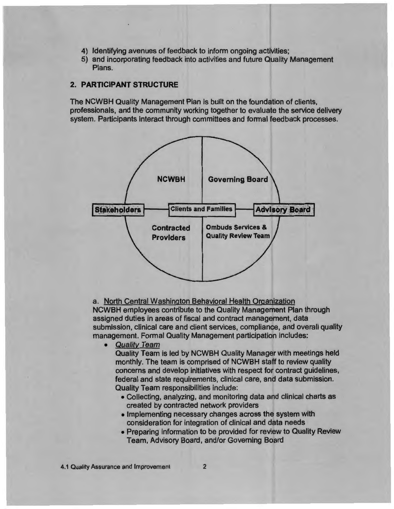- 4) Identifying avenues of feedback to inform ongoing activities;
- 5) and incorporating feedback into activities and future Quality Management Plans.

# **2. PARTICIPANT STRUCTURE**

The NCWBH Quality Management Plan is built on the foundation of clients, professionals, and the community working together to evaluate the service delivery system. Participants interact through committees and formal feedback processes.



a. North Central Washington Behavioral Health Organization NCWBH employees contribute to the Quality Management Plan through assigned duties in areas of fiscal and contract management, data submission, clinical care and client services, compliance, and overall quality management. Formal Quality Management participation includes:

• Quality Team

Quality Team is led by NCWBH Quality Manager with meetings held monthly. The team is comprised of NCWBH staff to review quality concerns and develop initiatives with respect for contract guidelines, federal and state requirements, clinical care, and data submission. Quality Team responsibilities include:

- Collecting, analyzing, and monitoring data and clinical charts as created by contracted network providers
- Implementing necessary changes across the system with consideration for integration of clinical and data needs
- Preparing information to be provided for review to Quality Review Team, Advisory Board, and/or Governing Board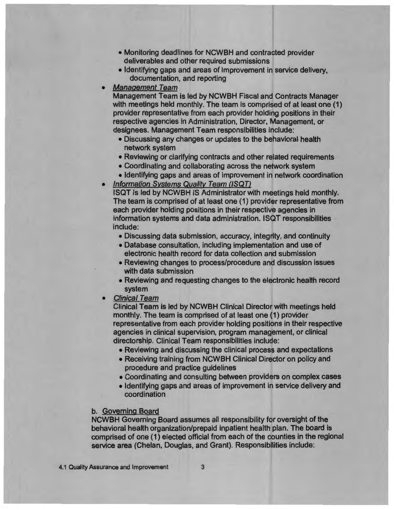- Monitoring deadlines for NCWBH and contracted provider deliverables and other required submissions
- Identifying gaps and areas of improvement in service delivery, documentation, and reporting
- **Management Team**

Management Team is led by NCWBH Fiscal and Contracts Manager with meetings held monthly. The team is comprised of at least one (1) provider representative from each provider holding positions in their respective agencies in Administration, Director, Management, or designees. Management Team responsibilities include:

- Discussing any changes or updates to the behavioral health network system
- Reviewing or clarifying contracts and other related requirements
- Coordinating and collaborating across the network system
- Identifying gaps and areas of improvement in network coordination
- Information Systems Quality Team (ISQT)

ISQT Is led by NCWBH IS Administrator with meetings held monthly. The team is comprised of at least one (1) provider representative from each provider holding positions in their respective agencies in information systems and data administration. ISQT responsibilities include:

- Discussing data submission, accuracy, integrity, and continuity
- Database consultation, including implementation and use of electronic health record for data collection and submission
- Reviewing changes to process/procedure and discussion issues with data submission
- Reviewing and requesting changes to the electronic health record system
- Clinical Team

Clinical Team is led by NCWBH Clinical Director with meetings held monthly. The team is comprised of at least one (1) provider representative from each provider holding positions in their respective agencies in clinical supervision, program management, or clinical directorship. Clinical Team responsibilities include:

- Reviewing and discussing the clinical process and expectations
- Receiving training from NCWBH Clinical Director on policy and procedure and practice guidelines
- Coordinating and consulting between providers on complex cases
- Identifying gaps and areas of improvement in service delivery and coordination

# b. Governing Board

NCWBH Governing Board assumes all responsibility for oversight of the behavioral health organization/prepaid inpatient health plan. The board is comprised of one (1) elected official from each of the counties in the regional service area (Chelan, Douglas, and Grant). Responsibilities include: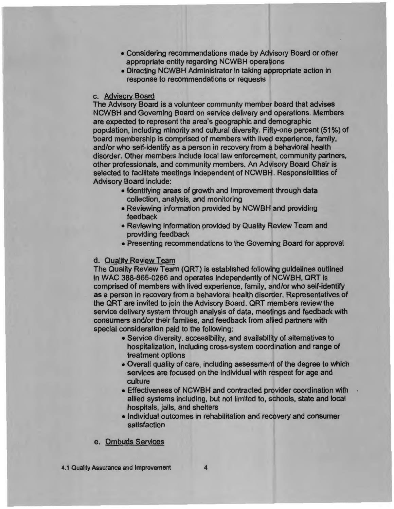- Considering recommendations made by Advisory Board or other appropriate entity regarding NCWBH operations
- Directing NCWBH Administrator in taking appropriate action in response to recommendations or requests

# c. Advisorv Board

The Advisory Board is a volunteer community member board that advises NCWBH and Governing Board on service delivery and operations. Members are expected to represent the area's geographic and demographic population, including minority and cultural diversity. Fifty-one percent (51%) of board membership is comprised of members with lived experience, family, and/or who self-identify as a person in recovery from a behavioral health disorder. Other members include local law enforcement, community partners, other professionals, and community members. An Advisory Board Chair is selected to facilitate meetings independent of NCWBH. Responsibilities of Advisory Board include:

- Identifying areas of growth and improvement through data collection, analysis, and monitoring
- Reviewing information provided by NCWBH and providing feedback
- Reviewing information provided by Quality Review Team and providing feedback
- Presenting recommendations to the Governing Board for approval

# d. Quality Review Team

The Quality Review Team (QRT) is established following guidelines outlined in WAC 388-865-0266 and operates independently of NCWBH. QRT Is comprised of members with lived experience, family, and/or who self-identify as a person in recovery from a behavioral health disorder. Representatives of the QRT are invited to join the Advisory Board. QRT members review the service delivery system through analysis of data, meetings and feedback with consumers and/or their families, and feedback from allied partners with special consideration paid to the following:

- Service diversity, accessibility, and availability of alternatives to hospitalization, including cross-system coordination and range of treatment options
- Overall quality of care, including assessment of the degree to which services are focused on the individual with respect for age and culture
- Effectiveness of NCWBH and contracted provider coordination with allied systems including, but not limited to, schools, state and local hospitals, jails, and shelters
- Individual outcomes in rehabilitation and recovery and consumer satisfaction

e. Ombuds Services

4.1 Quality Assurance and Improvement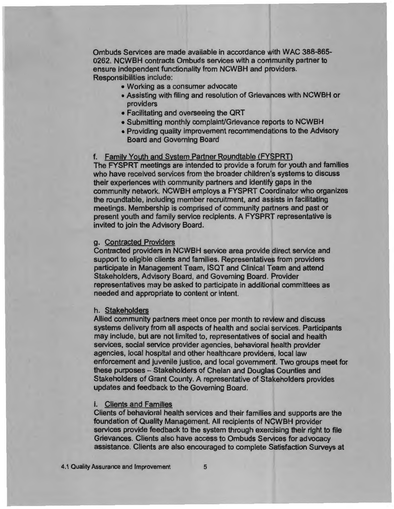Ombuds Services are made available in accordance with WAC 388-865- 0262. NCWBH contracts Ombuds services with a community partner to ensure independent functionality from NCWBH and providers. Responsibilities include:

- Working as a consumer advocate
- Assisting with filing and resolution of Grievances with NCWBH or providers
- Facilitating and overseeing the QRT
- Submitting monthly complaint/Grievance reports to NCWBH
- Providing quality improvement recommendations to the Advisory Board and Governing Board

# f. Family Youth and System Partner Roundtable (FYSPRT)

The FYSPRT meetings are intended to provide a forum for youth and families who have received services from the broader children's systems to discuss their experiences with community partners and identify gaps in the community network. NCWBH employs a FYSPRT Coordinator who organizes the roundtable, including member recruitment, and assists in facilitating meetings. Membership is comprised of community partners and past or present youth and family service recipients. A FYSPRT representative is invited to join the Advisory Board.

### g. Contracted Providers

Contracted providers in NCWBH service area provide direct service and support to eligible clients and families. Representatives from providers participate in Management Team, ISQT and Clinical Team and attend Stakeholders, Advisory Board, and Governing Board. Provider representatives may be asked to participate in additional committees as needed and appropriate to content or intent.

### h. Stakeholders

Allied community partners meet once per month to review and discuss systems delivery from all aspects of health and social services. Participants may include, but are not limited to, representatives of social and health services, social service provider agencies, behavioral health provider agencies, local hospital and other healthcare providers, local law enforcement and juvenile justice, and local government. Two groups meet for these purposes- Stakeholders of Chelan and Douglas Counties and Stakeholders of Grant County. A representative of Stakeholders provides updates and feedback to the Governing Board.

# i. Clients and Families

Clients of behavioral health services and their families and supports are the foundation of Quality Management. All recipients of NCWBH provider services provide feedback to the system through exercising their right to file Grievances. Clients also have access to Ombuds Services for advocacy assistance. Clients are also encouraged to complete Satisfaction Surveys at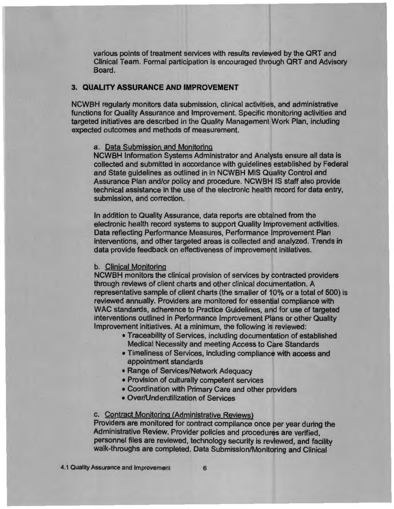various points of treatment services with results reviewed by the QRT and Clinical Team. Formal participation is encouraged through QRT and Advisory Board.

I

!

# **3. QUALITY ASSURANCE AND IMPROVEMENT**

NCWBH regularly monitors data submission, clinical activities, and administrative functions for Quality Assurance and Improvement. Specific monitoring activities and targeted initiatives are described in the Quality Management Work Plan, including expected outcomes and methods of measurement.

# a. Data Submission and Monitoring

NCWBH Information Systems Administrator and Analysts ensure all data is collected and submitted in accordance with guidelines established by Federal and State guidelines as outlined in in NCWBH MIS Quality Control and Assurance Plan and/or policy and procedure. NCWBH IS staff also provide technical assistance in the use of the electronic health record for data entry, submission, and correction.

In addition to Quality Assurance, data reports are obtained from the electronic health record systems to support Quality Improvement activities. Data reflecting Performance Measures, Performance Improvement Plan interventions, and other targeted areas is collected and analyzed. Trends in data provide feedback on effectiveness of improvement initiatives.

#### b. Clinical Monitoring

NCWBH monitors the clinical provision of services by contracted providers through reviews of client charts and other clinical documentation. A representative sample of client charts (the smaller of 10% or a total of 500) is reviewed annually. Providers are monitored for essential compliance with WAC standards, adherence to Practice Guidelines, and for use of targeted interventions outlined in Performance Improvement Plans or other Quality Improvement initiatives. At a minimum, the following is reviewed:

- Traceability of Services, including documentation of established Medical Necessity and meeting Access to Care Standards
- Timeliness of Services, including compliance with access and appointment standards
- Range of Services/Network Adequacy
- Provision of culturally competent services
- Coordination with Primary Care and other providers
- Over/Underutilization of Services

# c. Contract Monitoring (Administrative Reviews)

Providers are monitored for contract compliance once per year during the Administrative Review. Provider policies and procedures are verified, personnel files are reviewed, technology security is reviewed, and facility walk-throughs are completed. Data Submission/Monitoring and Clinical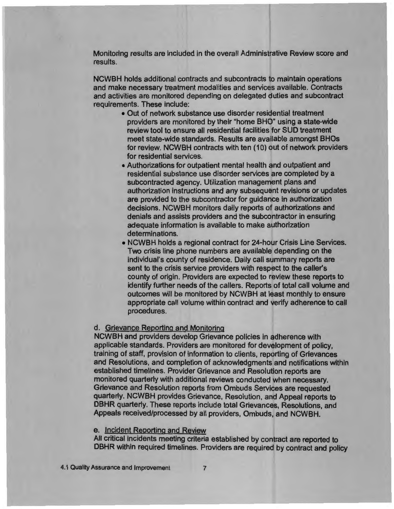Monitoring results are included in the overall Administrative Review score and results.

NCWBH holds additional contracts and subcontracts to maintain operations and make necessary treatment modalities and services available. Contracts and activities are monitored depending on delegated duties and subcontract requirements. These include:

- Out of network substance use disorder residential treatment providers are monitored by their "home BHO" using a state-wide review tool to ensure all residential facilities for SUD treatment meet state-wide standards. Results are available amongst BHOs for review. NCWBH contracts with ten (10) out of network providers for residential services.
- Authorizations for outpatient mental health and outpatient and residential substance use disorder services are completed by a subcontracted agency. Utilization management plans and authorization instructions and any subsequent revisions or updates are provided to the subcontractor for guidance in authorization decisions. NCWBH monitors daily reports of authorizations and denials and assists providers and the subcontractor in ensuring adequate information is available to make authorization determinations.
- NCWBH holds a regional contract for 24-hour Crisis Line Services. Two crisis line phone numbers are available depending on the individual's county of residence. Daily call summary reports are sent to the crisis service providers with respect to the caller's county of origin. Providers are expected to review these reports to identify further needs of the callers. Reports of total call volume and outcomes will be monitored by NCWBH at least monthly to ensure appropriate call volume within contract and verify adherence to call procedures.

## d. Grievance Reporting and Monitoring

NCWBH and providers develop Grievance policies in adherence with applicable standards. Providers are monitored for development of policy, training of staff, provision of information to clients, reporting of Grievances and Resolutions, and completion of acknowledgments and notifications within established timelines. Provider Grievance and Resolution reports are monitored quarterly with additional reviews conducted when necessary. Grievance and Resolution reports from Ombuds Services are requested quarterly. NCWBH provides Grievance, Resolution, and Appeal reports to DBHR quarterly. These reports include total Grievances, Resolutions, and Appeals received/processed by all providers, Ombuds, and NCWBH.

### e. Incident Reporting and Review

All critical incidents meeting criteria established by contract are reported to DBHR within required timelines. Providers are required by contract and policy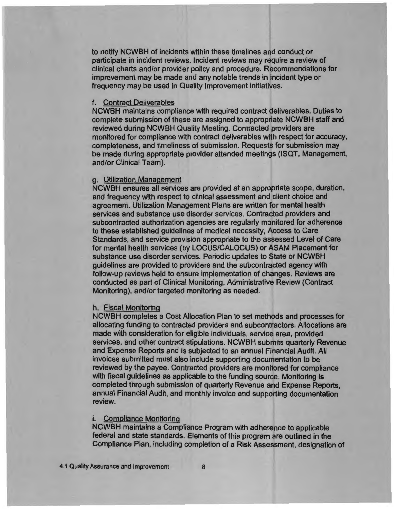to notify NCWBH of incidents within these time lines and conduct or participate in incident reviews. Incident reviews may require a review of clinical charts and/or provider policy and procedure. Recommendations for improvement may be made and any notable trends in incident type or frequency may be used in Quality Improvement initiatives.

#### f. Contract Deliverables

NCWBH maintains compliance with required contract deliverables. Duties to complete submission of these are assigned to appropriate NCWBH staff and reviewed during NCWBH Quality Meeting. Contracted providers are monitored for compliance with contract deliverables with respect for accuracy, completeness, and timeliness of submission. Requests for submission may be made during appropriate provider attended meetings (ISQT, Management, and/or Clinical Team).

#### g. Utilization Management

NCWBH ensures all services are provided at an appropriate scope, duration, and frequency with respect to clinical assessment and client choice and agreement. Utilization Management Plans are written for mental health services and substance use disorder services. Contracted providers and subcontracted authorization agencies are regularly monitored for adherence to these established guidelines of medical necessity, Access to Care Standards, and service provision appropriate to the assessed Level of Care for mental health services (by LOCUS/CALOCUS) or ASAM Placement for substance use disorder services. Periodic updates to State or NCWBH guidelines are provided to providers and the subcontracted agency with follow-up reviews held to ensure implementation of changes. Reviews are conducted as part of Clinical Monitoring, Administrative Review (Contract Monitoring), and/or targeted monitoring as needed.

# h. Fiscal Monitoring

NCWBH completes a Cost Allocation Plan to set methods and processes for allocating funding to contracted providers and subcontractors. Allocations are made with consideration for eligible individuals, service area, provided services, and other contract stipulations. NCWBH submits quarterly Revenue and Expense Reports and is subjected to an annual Financial Audit. All invoices submitted must also include supporting documentation to be reviewed by the payee. Contracted providers are monitored for compliance with fiscal guidelines as applicable to the funding source. Monitoring is completed through submission of quarterly Revenue and Expense Reports, annual Financial Audit, and monthly invoice and supporting documentation review.

#### i. Compliance Monitoring

NCWBH maintains a Compliance Program with adherence to applicable federal and state standards. Elements of this program are outlined in the Compliance Plan, including completion of a Risk Assessment, designation of